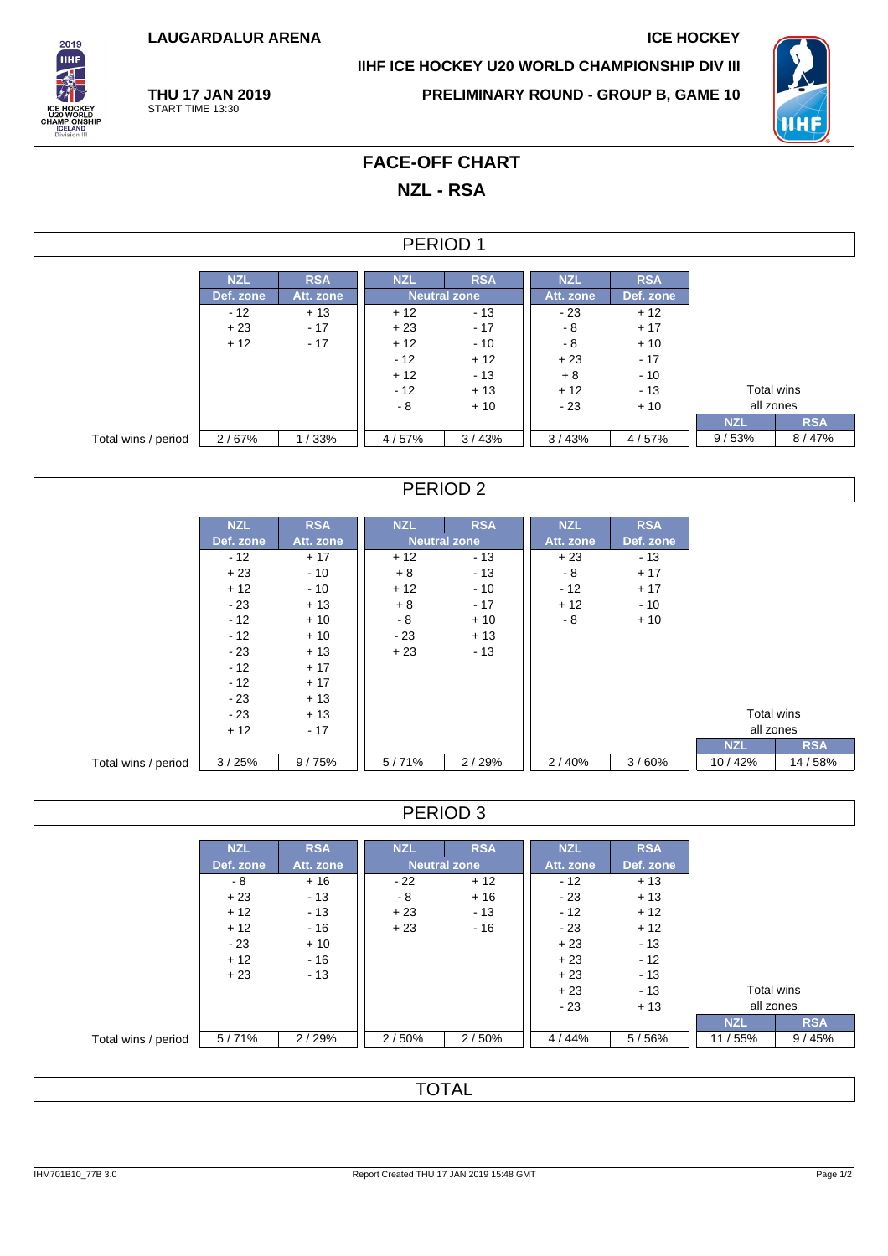**LAUGARDALUR ARENA ICE HOCKEY**

**THU 17 JAN 2019** START TIME 13:30



**IIHF ICE HOCKEY U20 WORLD CHAMPIONSHIP DIV III**

**PRELIMINARY ROUND - GROUP B, GAME 10**



## **FACE-OFF CHART NZL - RSA**

#### PERIOD 1

|                     | <b>NZL</b> | <b>RSA</b> | <b>NZL</b>          | <b>RSA</b> | <b>NZL</b> | <b>RSA</b> |            |            |
|---------------------|------------|------------|---------------------|------------|------------|------------|------------|------------|
|                     | Def. zone  | Att. zone  | <b>Neutral zone</b> |            | Att. zone  | Def. zone  |            |            |
|                     | $-12$      | $+13$      | $+12$               | $-13$      | $-23$      | $+12$      |            |            |
|                     | $+23$      | $-17$      | $+23$               | $-17$      | - 8        | $+17$      |            |            |
|                     | $+12$      | $-17$      | $+12$               | $-10$      | - 8        | $+10$      |            |            |
|                     |            |            | $-12$               | $+12$      | $+23$      | $-17$      |            |            |
|                     |            |            | $+12$               | $-13$      | $+8$       | $-10$      |            |            |
|                     |            |            | $-12$               | $+13$      | $+12$      | $-13$      | Total wins |            |
|                     |            |            | - 8                 | $+10$      | - 23       | $+10$      | all zones  |            |
|                     |            |            |                     |            |            |            | <b>NZL</b> | <b>RSA</b> |
| Total wins / period | 2/67%      | 1/33%      | 4/57%               | 3/43%      | 3/43%      | 4/57%      | 9/53%      | 8/47%      |

#### PERIOD 2

|                     | <b>NZL</b> | <b>RSA</b> | <b>NZL</b> | <b>RSA</b>          | <b>NZL</b> | <b>RSA</b> |            |            |
|---------------------|------------|------------|------------|---------------------|------------|------------|------------|------------|
|                     | Def. zone  | Att. zone  |            | <b>Neutral zone</b> | Att. zone  | Def. zone  |            |            |
|                     | $-12$      | $+17$      | $+12$      | $-13$               | $+23$      | $-13$      |            |            |
|                     | $+23$      | $-10$      | $+8$       | $-13$               | - 8        | $+17$      |            |            |
|                     | $+12$      | $-10$      | $+12$      | $-10$               | - 12       | $+17$      |            |            |
|                     | $-23$      | $+13$      | $+8$       | $-17$               | $+12$      | $-10$      |            |            |
|                     | $-12$      | $+10$      | $-8$       | $+10$               | - 8        | $+10$      |            |            |
|                     | $-12$      | $+10$      | $-23$      | $+13$               |            |            |            |            |
|                     | $-23$      | $+13$      | $+23$      | $-13$               |            |            |            |            |
|                     | $-12$      | $+17$      |            |                     |            |            |            |            |
|                     | $-12$      | $+17$      |            |                     |            |            |            |            |
|                     | $-23$      | $+13$      |            |                     |            |            |            |            |
|                     | $-23$      | $+13$      |            |                     |            |            | Total wins |            |
|                     | $+12$      | $-17$      |            |                     |            |            | all zones  |            |
|                     |            |            |            |                     |            |            | <b>NZL</b> | <b>RSA</b> |
| Total wins / period | 3/25%      | 9/75%      | 5/71%      | 2/29%               | 2/40%      | 3/60%      | 10/42%     | 14 / 58%   |

#### PERIOD 3

|                     | <b>NZL</b> | <b>RSA</b> | <b>NZL</b> | <b>RSA</b>          | <b>NZL</b> | <b>RSA</b> |  |
|---------------------|------------|------------|------------|---------------------|------------|------------|--|
|                     | Def. zone  | Att. zone  |            | <b>Neutral zone</b> | Att. zone  | Def. zone  |  |
|                     | - 8        | $+16$      | $-22$      | $+12$               | $-12$      | $+13$      |  |
|                     | $+23$      | $-13$      | - 8        | $+16$               | $-23$      | $+13$      |  |
|                     | $+12$      | $-13$      | $+23$      | $-13$               | $-12$      | $+12$      |  |
|                     | $+12$      | - 16       | $+23$      | $-16$               | $-23$      | $+12$      |  |
|                     | $-23$      | $+10$      |            |                     | $+23$      | $-13$      |  |
|                     | $+12$      | $-16$      |            |                     | $+23$      | $-12$      |  |
|                     | $+23$      | $-13$      |            |                     | $+23$      | $-13$      |  |
|                     |            |            |            |                     | $+23$      | $-13$      |  |
|                     |            |            |            |                     | $-23$      | $+13$      |  |
|                     |            |            |            |                     |            |            |  |
| Total wins / period | 5/71%      | 2/29%      | 2/50%      | 2/50%               | 4 / 44%    | 5/56%      |  |

**TOTAL**